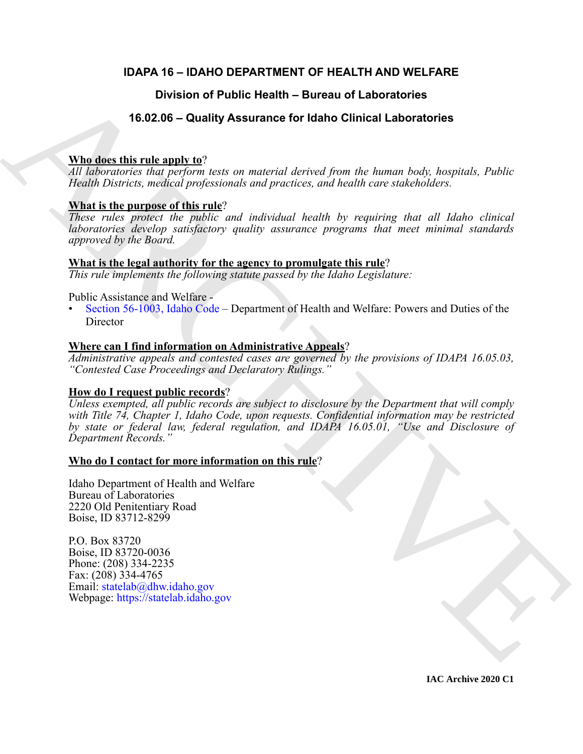# **IDAPA 16 – IDAHO DEPARTMENT OF HEALTH AND WELFARE**

# **Division of Public Health – Bureau of Laboratories**

# **16.02.06 – Quality Assurance for Idaho Clinical Laboratories**

# **Who does this rule apply to**?

*All laboratories that perform tests on material derived from the human body, hospitals, Public Health Districts, medical professionals and practices, and health care stakeholders.*

# **What is the purpose of this rule**?

*These rules protect the public and individual health by requiring that all Idaho clinical laboratories develop satisfactory quality assurance programs that meet minimal standards approved by the Board.*

# **What is the legal authority for the agency to promulgate this rule**?

*This rule implements the following statute passed by the Idaho Legislature:*

# Public Assistance and Welfare -

• Section 56-1003, Idaho Code – Department of Health and Welfare: Powers and Duties of the **Director** 

# **Where can I find information on Administrative Appeals**?

*Administrative appeals and contested cases are governed by the provisions of IDAPA 16.05.03, "Contested Case Proceedings and Declaratory Rulings."*

# **How do I request public records**?

Division of Public Health – Bureau of Laboratories<br>
16.02.06 – Quality Assurance for Idaho Clinical Laboratories<br>  $\frac{\sqrt{10}}{100}$  and  $\frac{1}{100}$  and  $\frac{1}{100}$  and  $\frac{1}{100}$  and  $\frac{1}{100}$  and  $\frac{1}{100}$  but the lab *Unless exempted, all public records are subject to disclosure by the Department that will comply with Title 74, Chapter 1, Idaho Code, upon requests. Confidential information may be restricted by state or federal law, federal regulation, and IDAPA 16.05.01, "Use and Disclosure of Department Records."*

# **Who do I contact for more information on this rule**?

Idaho Department of Health and Welfare Bureau of Laboratories 2220 Old Penitentiary Road Boise, ID 83712-8299

P.O. Box 83720 Boise, ID 83720-0036 Phone: (208) 334-2235 Fax: (208) 334-4765 Email: statelab@dhw.idaho.gov Webpage: https://statelab.idaho.gov

**IAC Archive 2020 C1**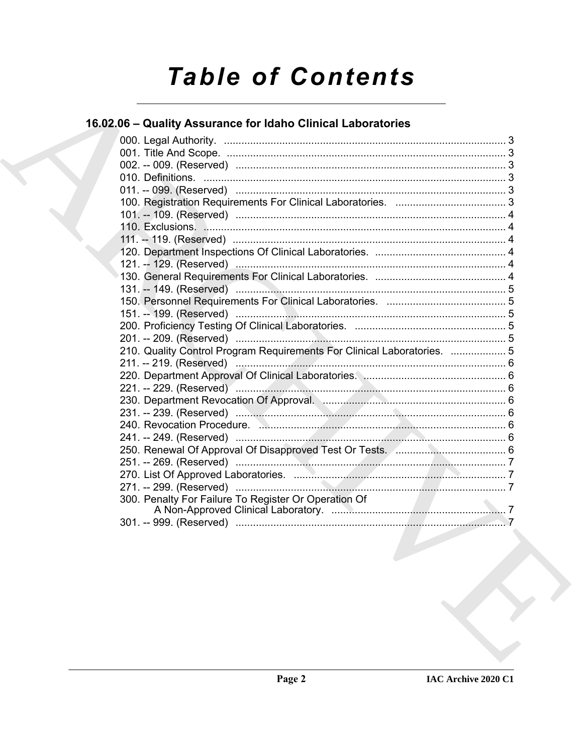# **Table of Contents**

# 16.02.06 - Quality Assurance for Idaho Clinical Laboratories

|  | 210. Quality Control Program Requirements For Clinical Laboratories.  5 |  |
|--|-------------------------------------------------------------------------|--|
|  |                                                                         |  |
|  |                                                                         |  |
|  |                                                                         |  |
|  | 230. Department Revocation Of Approval. Manuscription and St. 6         |  |
|  |                                                                         |  |
|  |                                                                         |  |
|  |                                                                         |  |
|  |                                                                         |  |
|  |                                                                         |  |
|  |                                                                         |  |
|  |                                                                         |  |
|  | 300. Penalty For Failure To Register Or Operation Of                    |  |
|  |                                                                         |  |
|  |                                                                         |  |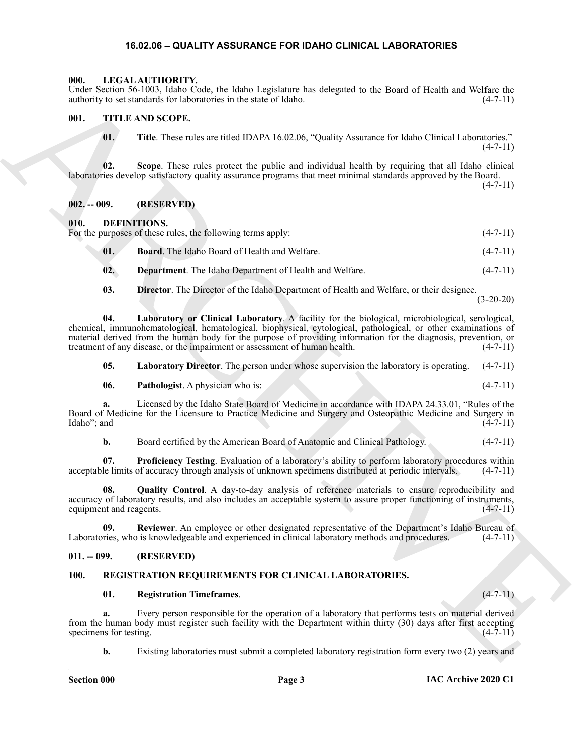#### <span id="page-2-17"></span>**16.02.06 – QUALITY ASSURANCE FOR IDAHO CLINICAL LABORATORIES**

#### <span id="page-2-1"></span><span id="page-2-0"></span>**000. LEGAL AUTHORITY.**

Under Section 56-1003, Idaho Code, the Idaho Legislature has delegated to the Board of Health and Welfare the authority to set standards for laboratories in the state of Idaho. (4-7-11)

#### <span id="page-2-2"></span>**001. TITLE AND SCOPE.**

<span id="page-2-20"></span>**01. Title**. These rules are titled IDAPA 16.02.06, "Quality Assurance for Idaho Clinical Laboratories."  $(4 - 7 - 11)$ 

**02. Scope**. These rules protect the public and individual health by requiring that all Idaho clinical laboratories develop satisfactory quality assurance programs that meet minimal standards approved by the Board.  $(4 - 7 - 11)$ 

<span id="page-2-3"></span>**002. -- 009. (RESERVED)**

#### <span id="page-2-4"></span>**010. DEFINITIONS.**

For the purposes of these rules, the following terms apply: (4-7-11) (4-7-11)

- <span id="page-2-8"></span><span id="page-2-7"></span>**01. Board**. The Idaho Board of Health and Welfare. (4-7-11)
- <span id="page-2-9"></span>**02. Department**. The Idaho Department of Health and Welfare. (4-7-11)
- <span id="page-2-12"></span><span id="page-2-10"></span>**03. Director**. The Director of the Idaho Department of Health and Welfare, or their designee.

(3-20-20)

Land, Scalar Schutz (d. 2003)<br>
ARCHIVE DESCRIPTION (a) the base of Make.<br>
THE ARCHIVE DESCRIPTION (a) the state of Make.<br>
10. THE These relations the points and anti-hold Archive present be held that climbed Laborations.<br> **04. Laboratory or Clinical Laboratory**. A facility for the biological, microbiological, serological, chemical, immunohematological, hematological, biophysical, cytological, pathological, or other examinations of material derived from the human body for the purpose of providing information for the diagnosis, prevention, or treatment of any disease, or the impairment or assessment of human health. (4-7-11) treatment of any disease, or the impairment or assessment of human health.

<span id="page-2-13"></span><span id="page-2-11"></span>**05. Laboratory Director**. The person under whose supervision the laboratory is operating. (4-7-11)

**06. Pathologist**. A physician who is: (4-7-11)

**a.** Licensed by the Idaho State Board of Medicine in accordance with IDAPA 24.33.01, "Rules of the Board of Medicine for the Licensure to Practice Medicine and Surgery and Osteopathic Medicine and Surgery in Idaho"; and (4-7-11) Idaho"; and

<span id="page-2-15"></span><span id="page-2-14"></span>**b.** Board certified by the American Board of Anatomic and Clinical Pathology. (4-7-11)

**07. Proficiency Testing**. Evaluation of a laboratory's ability to perform laboratory procedures within acceptable limits of accuracy through analysis of unknown specimens distributed at periodic intervals. (4-7-11)

**08. Quality Control**. A day-to-day analysis of reference materials to ensure reproducibility and accuracy of laboratory results, and also includes an acceptable system to assure proper functioning of instruments, equipment and reagents. (4-7-11)

<span id="page-2-16"></span>**09. Reviewer**. An employee or other designated representative of the Department's Idaho Bureau of Laboratories, who is knowledgeable and experienced in clinical laboratory methods and procedures. (4-7-11)

#### <span id="page-2-5"></span>**011. -- 099. (RESERVED)**

#### <span id="page-2-6"></span>**100. REGISTRATION REQUIREMENTS FOR CLINICAL LABORATORIES.**

#### <span id="page-2-19"></span><span id="page-2-18"></span>**01. Registration Timeframes**. (4-7-11)

**a.** Every person responsible for the operation of a laboratory that performs tests on material derived from the human body must register such facility with the Department within thirty (30) days after first accepting specimens for testing.  $(4-7-11)$ 

**b.** Existing laboratories must submit a completed laboratory registration form every two (2) years and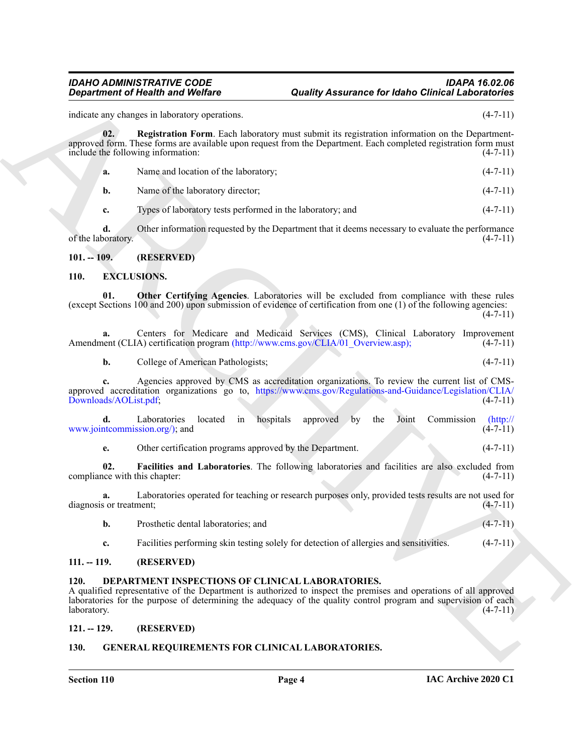indicate any changes in laboratory operations. (4-7-11)

**Equivariant of Nearlth and Wolfing Algorithm. Country Assuments for fishion Equivariant** into the properties in the set of the set of the set of the set of the set of the set of the set of the set of the set of the set **02. Registration Form**. Each laboratory must submit its registration information on the Departmentapproved form. These forms are available upon request from the Department. Each completed registration form must include the following information: (4-7-11)

<span id="page-3-11"></span>**a.** Name and location of the laboratory; (4-7-11)

**b.** Name of the laboratory director; (4-7-11)

**c.** Types of laboratory tests performed in the laboratory; and  $(4-7-11)$ 

**d.** Other information requested by the Department that it deems necessary to evaluate the performance of the laboratory.  $(4-7-11)$ 

#### <span id="page-3-0"></span>**101. -- 109. (RESERVED)**

#### <span id="page-3-9"></span><span id="page-3-7"></span><span id="page-3-1"></span>**110. EXCLUSIONS.**

**01. Other Certifying Agencies**. Laboratories will be excluded from compliance with these rules (except Sections 100 and 200) upon submission of evidence of certification from one (1) of the following agencies:  $(4 - 7 - 11)$ 

|                                                                                   |  |  |  |  | Centers for Medicare and Medicaid Services (CMS), Clinical Laboratory Improvement |
|-----------------------------------------------------------------------------------|--|--|--|--|-----------------------------------------------------------------------------------|
| Amendment (CLIA) certification program (http://www.cms.gov/CLIA/01 Overview.asp); |  |  |  |  | $(4-7-11)$                                                                        |

**b.** College of American Pathologists; (4-7-11)

**c.** Agencies approved by CMS as accreditation organizations. To review the current list of CMSapproved accreditation organizations go to, https://www.cms.gov/Regulations-and-Guidance/Legislation/CLIA/<br>Downloads/AOList.pdf; (4-7-11) Downloads/AOList.pdf;

| Laboratories located in hospitals approved by the Joint Commission (http:// |  |  |  |  |                |
|-----------------------------------------------------------------------------|--|--|--|--|----------------|
| www.jointcommission.org/); and                                              |  |  |  |  | $(4 - 7 - 11)$ |

<span id="page-3-8"></span>**e.** Other certification programs approved by the Department. (4-7-11)

**02. Facilities and Laboratories**. The following laboratories and facilities are also excluded from compliance with this chapter: (4-7-11) (4-7-11)

**a.** Laboratories operated for teaching or research purposes only, provided tests results are not used for diagnosis or treatment; (4-7-11)

- **b.** Prosthetic dental laboratories; and (4-7-11)
- <span id="page-3-6"></span>**c.** Facilities performing skin testing solely for detection of allergies and sensitivities. (4-7-11)

#### <span id="page-3-2"></span>**111. -- 119. (RESERVED)**

#### <span id="page-3-3"></span>**120. DEPARTMENT INSPECTIONS OF CLINICAL LABORATORIES.**

A qualified representative of the Department is authorized to inspect the premises and operations of all approved laboratories for the purpose of determining the adequacy of the quality control program and supervision of each laboratory. (4-7-11)

#### <span id="page-3-4"></span>**121. -- 129. (RESERVED)**

#### <span id="page-3-10"></span><span id="page-3-5"></span>**130. GENERAL REQUIREMENTS FOR CLINICAL LABORATORIES.**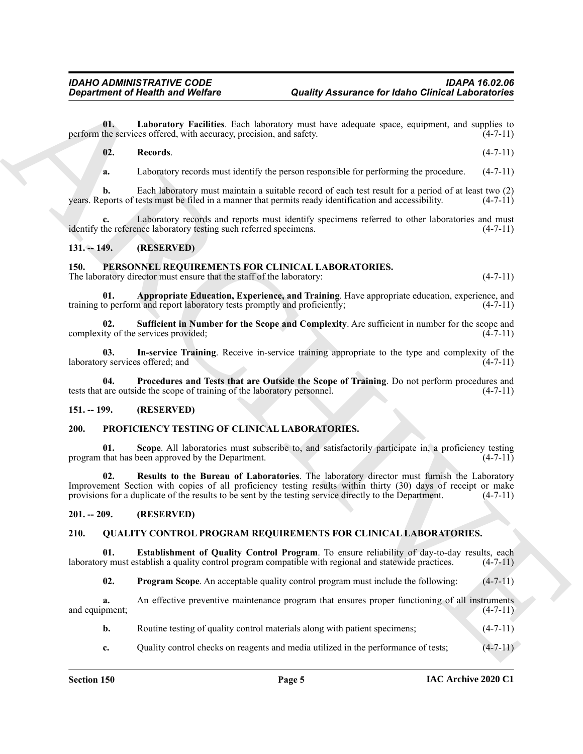**01. Laboratory Facilities**. Each laboratory must have adequate space, equipment, and supplies to perform the services offered, with accuracy, precision, and safety. (4-7-11)

#### <span id="page-4-7"></span><span id="page-4-6"></span>**02. Records**. (4-7-11)

**a.** Laboratory records must identify the person responsible for performing the procedure.  $(4-7-11)$ 

**b.** Each laboratory must maintain a suitable record of each test result for a period of at least two (2) years. Reports of tests must be filed in a manner that permits ready identification and accessibility. (4-7-11)

Laboratory records and reports must identify specimens referred to other laboratories and must nce laboratory testing such referred specimens. (4-7-11) identify the reference laboratory testing such referred specimens.

#### <span id="page-4-0"></span>**131. -- 149. (RESERVED)**

#### <span id="page-4-8"></span><span id="page-4-1"></span>**150. PERSONNEL REQUIREMENTS FOR CLINICAL LABORATORIES.**

<span id="page-4-9"></span>The laboratory director must ensure that the staff of the laboratory: (4-7-11)

**01. Appropriate Education, Experience, and Training**. Have appropriate education, experience, and training to perform and report laboratory tests promptly and proficiently; (4-7-11)

<span id="page-4-12"></span>**02. Sufficient in Number for the Scope and Complexity**. Are sufficient in number for the scope and complexity of the services provided; (4-7-11)

<span id="page-4-10"></span>**03. In-service Training**. Receive in-service training appropriate to the type and complexity of the laboratory services offered; and (4-7-11) (4-7-11)

<span id="page-4-11"></span>**04. Procedures and Tests that are Outside the Scope of Training**. Do not perform procedures and tests that are outside the scope of training of the laboratory personnel. (4-7-11)

#### <span id="page-4-2"></span>**151. -- 199. (RESERVED)**

#### <span id="page-4-13"></span><span id="page-4-3"></span>**200. PROFICIENCY TESTING OF CLINICAL LABORATORIES.**

<span id="page-4-15"></span><span id="page-4-14"></span>**01.** Scope. All laboratories must subscribe to, and satisfactorily participate in, a proficiency testing that has been approved by the Department. (4-7-11) program that has been approved by the Department.

*Given the term is a statistically decision***t control and the set of the set of the set of the set of the set of the set of the set of the set of the set of the set of the set of the set of the set of the set of the set** Results to the Bureau of Laboratories. The laboratory director must furnish the Laboratory Improvement Section with copies of all proficiency testing results within thirty (30) days of receipt or make provisions for a duplicate of the results to be sent by the testing service directly to the Department. (4-7-11)

#### <span id="page-4-4"></span>**201. -- 209. (RESERVED)**

#### <span id="page-4-16"></span><span id="page-4-5"></span>**210. QUALITY CONTROL PROGRAM REQUIREMENTS FOR CLINICAL LABORATORIES.**

**01. Establishment of Quality Control Program**. To ensure reliability of day-to-day results, each laboratory must establish a quality control program compatible with regional and statewide practices. (4-7-11)

<span id="page-4-18"></span><span id="page-4-17"></span>**02. Program Scope**. An acceptable quality control program must include the following:  $(4-7-11)$ 

**a.** An effective preventive maintenance program that ensures proper functioning of all instruments and equipment; (4-7-11)

- **b.** Routine testing of quality control materials along with patient specimens; (4-7-11)
- **c.** Quality control checks on reagents and media utilized in the performance of tests;  $(4-7-11)$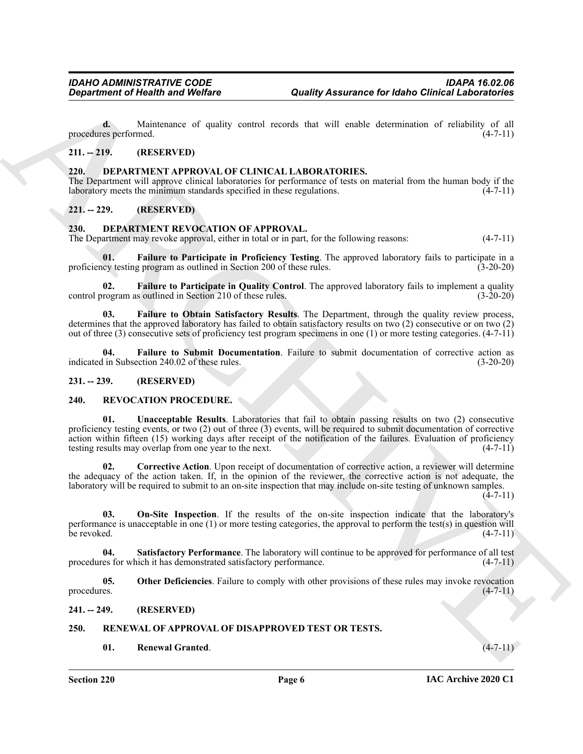**d.** Maintenance of quality control records that will enable determination of reliability of all procedures performed. (4-7-11)

#### <span id="page-5-0"></span>**211. -- 219. (RESERVED)**

#### <span id="page-5-8"></span><span id="page-5-1"></span>**220. DEPARTMENT APPROVAL OF CLINICAL LABORATORIES.**

The Department will approve clinical laboratories for performance of tests on material from the human body if the laboratory meets the minimum standards specified in these regulations. (4-7-11)

### <span id="page-5-2"></span>**221. -- 229. (RESERVED)**

#### <span id="page-5-9"></span><span id="page-5-3"></span>**230. DEPARTMENT REVOCATION OF APPROVAL.**

The Department may revoke approval, either in total or in part, for the following reasons: (4-7-11)

<span id="page-5-11"></span>**01. Failure to Participate in Proficiency Testing**. The approved laboratory fails to participate in a proficiency testing program as outlined in Section 200 of these rules.

<span id="page-5-12"></span>**02. Failure to Participate in Quality Control**. The approved laboratory fails to implement a quality rogram as outlined in Section 210 of these rules. (3-20-20) control program as outlined in Section 210 of these rules.

<span id="page-5-10"></span>**03. Failure to Obtain Satisfactory Results**. The Department, through the quality review process, determines that the approved laboratory has failed to obtain satisfactory results on two (2) consecutive or on two (2) out of three (3) consecutive sets of proficiency test program specimens in one (1) or more testing categories. (4-7-11)

<span id="page-5-13"></span>**04. Failure to Submit Documentation**. Failure to submit documentation of corrective action as indicated in Subsection 240.02 of these rules. (3-20-20)

#### <span id="page-5-4"></span>**231. -- 239. (RESERVED)**

#### <span id="page-5-21"></span><span id="page-5-16"></span><span id="page-5-5"></span>**240. REVOCATION PROCEDURE.**

*Gregarinnes of Nealth wast Wolfare*<br> **Constrained and Wolfare**<br> **Constrained** and Wolfare<br>
This method is a state and the state and the state and the state of the state of the state and the state and the state of the s **01. Unacceptable Results**. Laboratories that fail to obtain passing results on two (2) consecutive proficiency testing events, or two (2) out of three (3) events, will be required to submit documentation of corrective action within fifteen (15) working days after receipt of the notification of the failures. Evaluation of proficiency testing results may overlap from one year to the next. (4-7-11)

<span id="page-5-17"></span>**02. Corrective Action**. Upon receipt of documentation of corrective action, a reviewer will determine the adequacy of the action taken. If, in the opinion of the reviewer, the corrective action is not adequate, the laboratory will be required to submit to an on-site inspection that may include on-site testing of unknown samples.  $(4 - 7 - 11)$ 

<span id="page-5-18"></span>**03. On-Site Inspection**. If the results of the on-site inspection indicate that the laboratory's performance is unacceptable in one (1) or more testing categories, the approval to perform the test(s) in question will<br>be revoked. (4-7-11) be revoked.  $(4-7-11)$ 

<span id="page-5-20"></span>**04. Satisfactory Performance**. The laboratory will continue to be approved for performance of all test procedures for which it has demonstrated satisfactory performance. (4-7-11)

<span id="page-5-19"></span>**05.** Other Deficiencies. Failure to comply with other provisions of these rules may invoke revocation (4-7-11) procedures. (4-7-11)

#### <span id="page-5-6"></span>**241. -- 249. (RESERVED)**

#### <span id="page-5-7"></span>**250. RENEWAL OF APPROVAL OF DISAPPROVED TEST OR TESTS.**

<span id="page-5-15"></span><span id="page-5-14"></span>**01. Renewal Granted**. (4-7-11)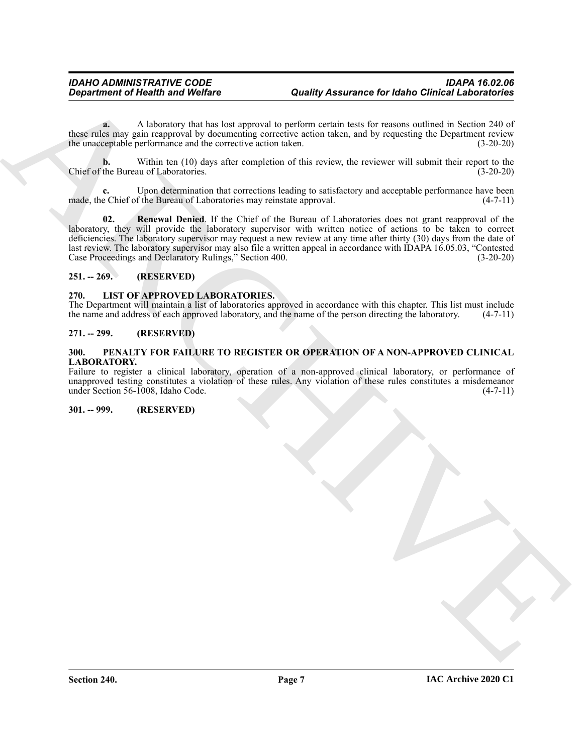**a.** A laboratory that has lost approval to perform certain tests for reasons outlined in Section 240 of these rules may gain reapproval by documenting corrective action taken, and by requesting the Department review the unacceptable performance and the corrective action taken. (3-20-20)

**b.** Within ten (10) days after completion of this review, the reviewer will submit their report to the the Bureau of Laboratories. (3-20-20) Chief of the Bureau of Laboratories.

<span id="page-6-7"></span>Upon determination that corrections leading to satisfactory and acceptable performance have been made, the Chief of the Bureau of Laboratories may reinstate approval. (4-7-11)

Generation of Health was Welfare<br>
and the subsequence of the base of the subsequence of the subsequence of the subsequence of the subsequence of the subsequence of the subsequence of the subsequence of the subsequence of **02. Renewal Denied**. If the Chief of the Bureau of Laboratories does not grant reapproval of the laboratory, they will provide the laboratory supervisor with written notice of actions to be taken to correct deficiencies. The laboratory supervisor may request a new review at any time after thirty (30) days from the date of last review. The laboratory supervisor may also file a written appeal in accordance with IDAPA 16.05.03, "Contested Case Proceedings and Declaratory Rulings," Section 400. (3-20-20)

#### <span id="page-6-0"></span>**251. -- 269. (RESERVED)**

#### <span id="page-6-5"></span><span id="page-6-1"></span>**270. LIST OF APPROVED LABORATORIES.**

The Department will maintain a list of laboratories approved in accordance with this chapter. This list must include the name and address of each approved laboratory, and the name of the person directing the laboratory. (4 the name and address of each approved laboratory, and the name of the person directing the laboratory.

#### <span id="page-6-2"></span>**271. -- 299. (RESERVED)**

#### <span id="page-6-6"></span><span id="page-6-3"></span>**300. PENALTY FOR FAILURE TO REGISTER OR OPERATION OF A NON-APPROVED CLINICAL LABORATORY.**

Failure to register a clinical laboratory, operation of a non-approved clinical laboratory, or performance of unapproved testing constitutes a violation of these rules. Any violation of these rules constitutes a misdemeanor under Section 56-1008, Idaho Code. (4-7-11)

<span id="page-6-4"></span>**301. -- 999. (RESERVED)**